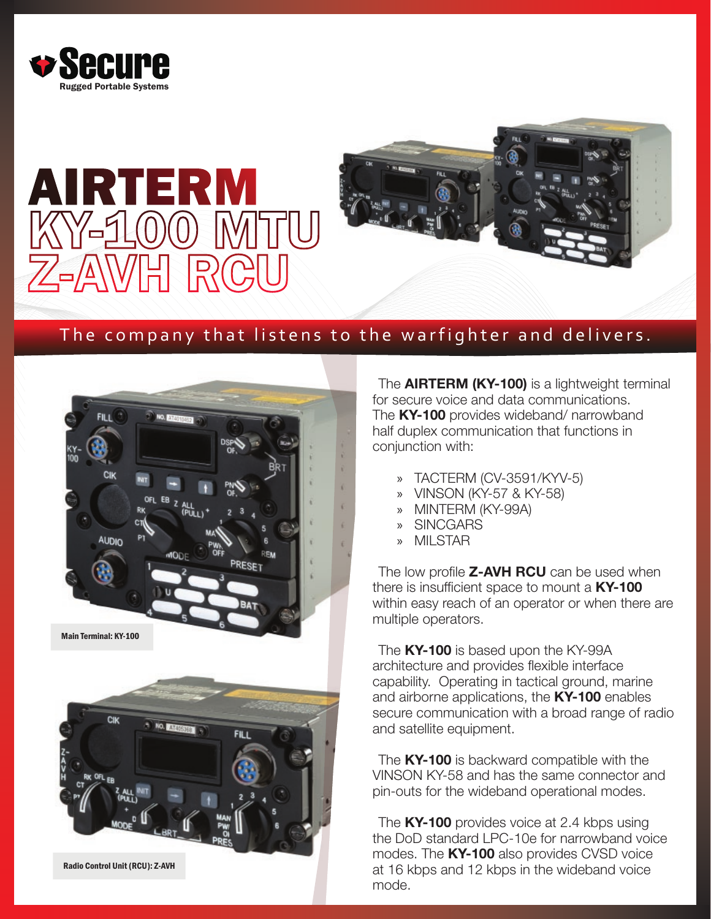





## The company that listens to the warfighter and delivers.



The **AIRTERM (KY-100)** is a lightweight terminal for secure voice and data communications. The KY-100 provides wideband/ narrowband half duplex communication that functions in conjunction with:

- » TACTERM (CV-3591/KYV-5)
- » VINSON (KY-57 & KY-58)
- » MINTERM (KY-99A)
- » SINCGARS
- » MILSTAR

The low profile **Z-AVH RCU** can be used when there is insufficient space to mount a KY-100 within easy reach of an operator or when there are multiple operators.

The KY-100 is based upon the KY-99A architecture and provides flexible interface capability. Operating in tactical ground, marine and airborne applications, the KY-100 enables secure communication with a broad range of radio and satellite equipment.

The KY-100 is backward compatible with the VINSON KY-58 and has the same connector and pin-outs for the wideband operational modes.

The KY-100 provides voice at 2.4 kbps using the DoD standard LPC-10e for narrowband voice modes. The KY-100 also provides CVSD voice at 16 kbps and 12 kbps in the wideband voice mode.